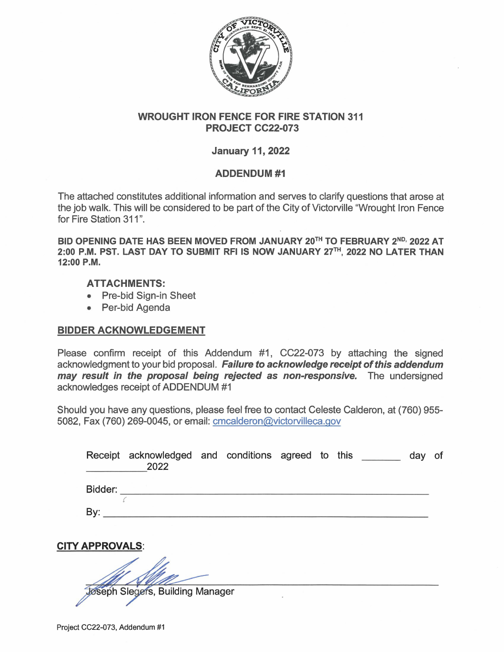

## **WROUGHT IRON FENCE FOR FIRE STATION 311 PROJECT CC22-073**

## **January 11, 2022**

## **ADDENDUM#1**

The attached constitutes additional information and serves to clarify questions that arose at the job walk. This will be considered to be part of the City of Victorville "Wrought Iron Fence for Fire Station 311".

BID OPENING DATE HAS BEEN MOVED FROM JANUARY 20<sup>TH</sup> TO FEBRUARY 2<sup>ND,</sup> 2022 AT **2:00 P.M. PST. LAST DAY TO SUBMIT RFI IS NOW JANUARY 27rH, 2022 NO LATER THAN 12:00 P.M.** 

## **ATTACHMENTS:**

- Pre-bid Sign-in Sheet
- Per-bid Agenda

# **BIDDER ACKNOWLEDGEMENT**

Please confirm receipt of this Addendum #1, CC22-073 by attaching the signed acknowledgment to your bid proposal. **Failure to acknowledge receipt of this addendum may result in the proposal being rejected as non-responsive.** The undersigned acknowledges receipt of ADDENDUM #1

Should you have any questions, please feel free to contact Celeste Calderon, at (760) 955- 5082, Fax (760) 269-0045, or email: cmcalderon@victorvilleca.gov

|                        | Receipt acknowledged and conditions agreed to this<br>2022 |  |  |  | day | 0f |
|------------------------|------------------------------------------------------------|--|--|--|-----|----|
|                        |                                                            |  |  |  |     |    |
| By:                    |                                                            |  |  |  |     |    |
| <b>CITY APPROVALS:</b> |                                                            |  |  |  |     |    |
|                        |                                                            |  |  |  |     |    |
|                        | Jøseph Slegers, Building Manager                           |  |  |  |     |    |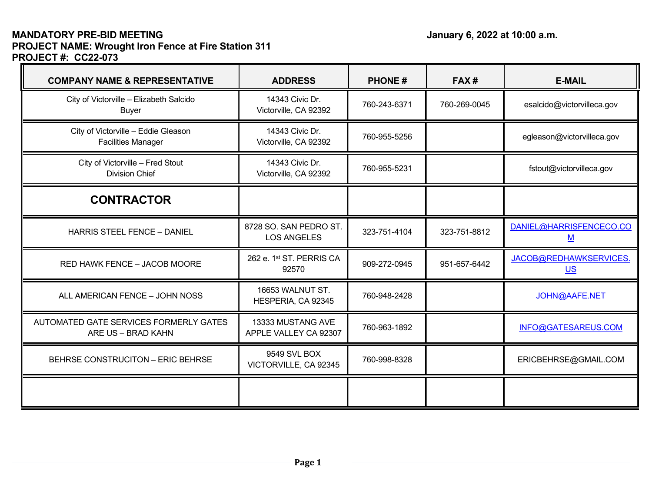# **MANDATORY PRE-BID MEETING January 6, 2022 at 10:00 a.m. PROJECT NAME: Wrought Iron Fence at Fire Station 311 PROJECT #: CC22-073**

 $\equiv$ 

| <b>COMPANY NAME &amp; REPRESENTATIVE</b>                         | <b>ADDRESS</b>                               | <b>PHONE#</b> | FAX#         | <b>E-MAIL</b>                            |  |
|------------------------------------------------------------------|----------------------------------------------|---------------|--------------|------------------------------------------|--|
| City of Victorville - Elizabeth Salcido<br><b>Buyer</b>          | 14343 Civic Dr.<br>Victorville, CA 92392     | 760-243-6371  | 760-269-0045 | esalcido@victorvilleca.gov               |  |
| City of Victorville - Eddie Gleason<br><b>Facilities Manager</b> | 14343 Civic Dr.<br>Victorville, CA 92392     | 760-955-5256  |              | egleason@victorvilleca.gov               |  |
| City of Victorville - Fred Stout<br><b>Division Chief</b>        | 14343 Civic Dr.<br>Victorville, CA 92392     | 760-955-5231  |              | fstout@victorvilleca.gov                 |  |
| <b>CONTRACTOR</b>                                                |                                              |               |              |                                          |  |
| <b>HARRIS STEEL FENCE - DANIEL</b>                               | 8728 SO. SAN PEDRO ST.<br><b>LOS ANGELES</b> | 323-751-4104  | 323-751-8812 | DANIEL@HARRISFENCECO.CO<br><u>M</u>      |  |
| RED HAWK FENCE - JACOB MOORE                                     | 262 e. 1st ST. PERRIS CA<br>92570            | 909-272-0945  | 951-657-6442 | JACOB@REDHAWKSERVICES.<br>U <sub>S</sub> |  |
| ALL AMERICAN FENCE - JOHN NOSS                                   | 16653 WALNUT ST.<br>HESPERIA, CA 92345       | 760-948-2428  |              | JOHN@AAFE.NET                            |  |
| AUTOMATED GATE SERVICES FORMERLY GATES<br>ARE US - BRAD KAHN     | 13333 MUSTANG AVE<br>APPLE VALLEY CA 92307   | 760-963-1892  |              | INFO@GATESAREUS.COM                      |  |
| BEHRSE CONSTRUCITON - ERIC BEHRSE                                | 9549 SVL BOX<br>VICTORVILLE, CA 92345        | 760-998-8328  |              | ERICBEHRSE@GMAIL.COM                     |  |
|                                                                  |                                              |               |              |                                          |  |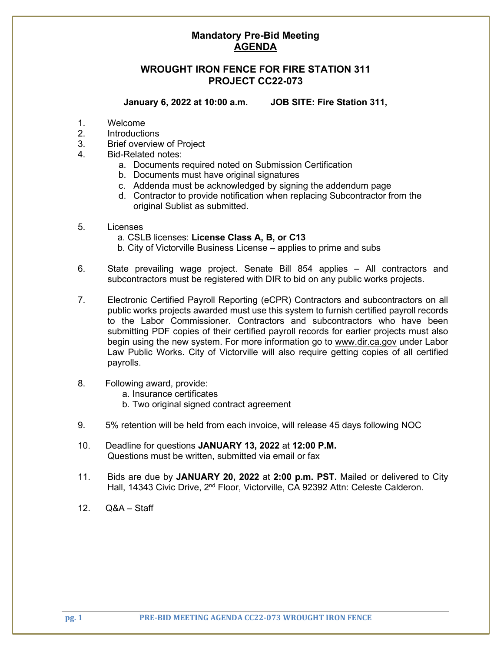## **Mandatory Pre-Bid Meeting AGENDA**

### **WROUGHT IRON FENCE FOR FIRE STATION 311 PROJECT CC22-073**

**January 6, 2022 at 10:00 a.m. JOB SITE: Fire Station 311,** 

- 1. Welcome
- 2. Introductions
- 3. Brief overview of Project
- 4. Bid-Related notes:
	- a. Documents required noted on Submission Certification
	- b. Documents must have original signatures
	- c. Addenda must be acknowledged by signing the addendum page
	- d. Contractor to provide notification when replacing Subcontractor from the original Sublist as submitted.
- 5. Licenses
	- a. CSLB licenses: **License Class A, B, or C13**
	- b. City of Victorville Business License applies to prime and subs
- 6. State prevailing wage project. Senate Bill 854 applies All contractors and subcontractors must be registered with DIR to bid on any public works projects.
- 7. Electronic Certified Payroll Reporting (eCPR) Contractors and subcontractors on all public works projects awarded must use this system to furnish certified payroll records to the Labor Commissioner. Contractors and subcontractors who have been submitting PDF copies of their certified payroll records for earlier projects must also begin using the new system. For more information go to [www.dir.ca.gov](http://www.dir.ca.gov/) under Labor Law Public Works. City of Victorville will also require getting copies of all certified payrolls.
- 8. Following award, provide:
	- a. Insurance certificates
	- b. Two original signed contract agreement
- 9. 5% retention will be held from each invoice, will release 45 days following NOC
- 10. Deadline for questions **JANUARY 13, 2022** at **12:00 P.M.** Questions must be written, submitted via email or fax
- 11. Bids are due by **JANUARY 20, 2022** at **2:00 p.m. PST.** Mailed or delivered to City Hall, 14343 Civic Drive, 2<sup>nd</sup> Floor, Victorville, CA 92392 Attn: Celeste Calderon.
- 12. Q&A Staff